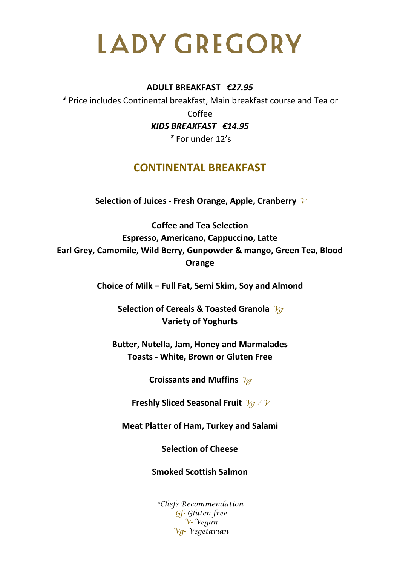#### **ADULT BREAKFAST** *€27.95*

*\** Price includes Continental breakfast, Main breakfast course and Tea or Coffee *KIDS BREAKFAST €14.95*

*\** For under 12's

# **CONTINENTAL BREAKFAST**

**Selection of Juices - Fresh Orange, Apple, Cranberry** *<sup>V</sup>*

**Coffee and Tea Selection Espresso, Americano, Cappuccino, Latte Earl Grey, Camomile, Wild Berry, Gunpowder & mango, Green Tea, Blood Orange**

**Choice of Milk – Full Fat, Semi Skim, Soy and Almond**

**Selection of Cereals & Toasted Granola** *Vg* **Variety of Yoghurts**

**Butter, Nutella, Jam, Honey and Marmalades Toasts - White, Brown or Gluten Free**

**Croissants and Muffins** *Vg*

**Freshly Sliced Seasonal Fruit** *Vg / V*

**Meat Platter of Ham, Turkey and Salami**

**Selection of Cheese**

**Smoked Scottish Salmon**

*\*Chefs Recommendation Gf- Gluten free V- Vegan Vg- Vegetarian*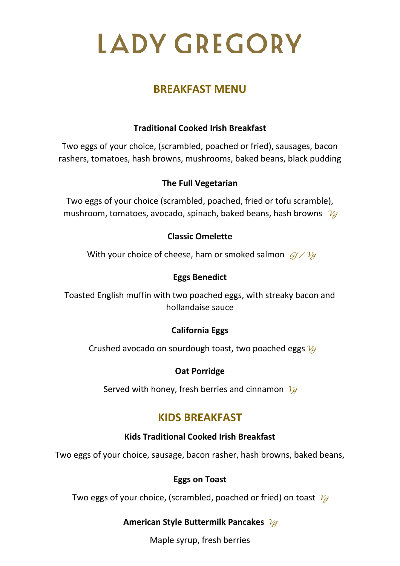# **BREAKFAST MENU**

# **Traditional Cooked Irish Breakfast**

Two eggs of your choice, (scrambled, poached or fried), sausages, bacon rashers, tomatoes, hash browns, mushrooms, baked beans, black pudding

## **The Full Vegetarian**

Two eggs of your choice (scrambled, poached, fried or tofu scramble), mushroom, tomatoes, avocado, spinach, baked beans, hash browns *Vg*

### **Classic Omelette**

With your choice of cheese, ham or smoked salmon *Gf / Vg*

### **Eggs Benedict**

Toasted English muffin with two poached eggs, with streaky bacon and hollandaise sauce

## **California Eggs**

Crushed avocado on sourdough toast, two poached eggs*Vg*

#### **Oat Porridge**

Served with honey, fresh berries and cinnamon *Vg*

# **KIDS BREAKFAST**

#### **Kids Traditional Cooked Irish Breakfast**

Two eggs of your choice, sausage, bacon rasher, hash browns, baked beans,

#### **Eggs on Toast**

Two eggs of your choice, (scrambled, poached or fried) on toast *Vg*

## **American Style Buttermilk Pancakes** *Vg*

Maple syrup, fresh berries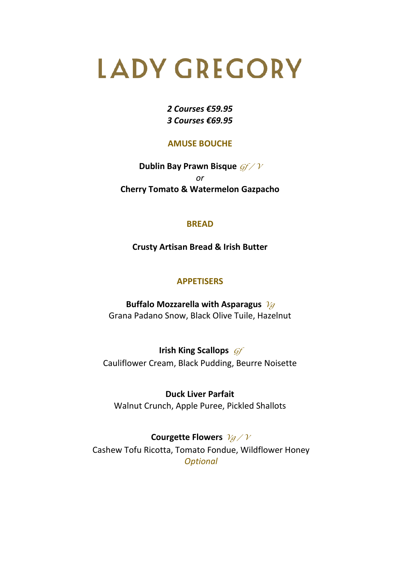#### *2 Courses €59.95 3 Courses €69.95*

#### **AMUSE BOUCHE**

**Dublin Bay Prawn Bisque** *Gf / V or* **Cherry Tomato & Watermelon Gazpacho**

#### **BREAD**

**Crusty Artisan Bread & Irish Butter**

#### **APPETISERS**

**Buffalo Mozzarella with Asparagus** *Vg* Grana Padano Snow, Black Olive Tuile, Hazelnut

**Irish King Scallops** *Gf* Cauliflower Cream, Black Pudding, Beurre Noisette

**Duck Liver Parfait**  Walnut Crunch, Apple Puree, Pickled Shallots

**Courgette Flowers** *Vg / V* Cashew Tofu Ricotta, Tomato Fondue, Wildflower Honey *Optional*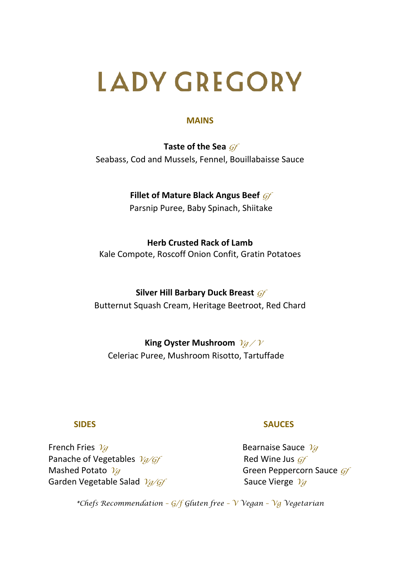#### **MAINS**

**Taste of the Sea** *Gf* Seabass, Cod and Mussels, Fennel, Bouillabaisse Sauce

# **Fillet of Mature Black Angus Beef** *Gf*

Parsnip Puree, Baby Spinach, Shiitake

#### **Herb Crusted Rack of Lamb**

Kale Compote, Roscoff Onion Confit, Gratin Potatoes

# **Silver Hill Barbary Duck Breast** *Gf* Butternut Squash Cream, Heritage Beetroot, Red Chard

 **King Oyster Mushroom** *Vg / <sup>V</sup>* Celeriac Puree, Mushroom Risotto, Tartuffade

# **French Fries** *Vg* **Bearnaise Sauce** *Vg* Panache of Vegetables  $\sqrt{q}/\sqrt{G}f$  Red Wine Jus  $\sqrt{G}f$ Mashed Potato  $\sqrt{g}$  and  $\sqrt{g}$  and  $\sqrt{g}$  are Green Peppercorn Sauce  $\frac{f}{g}$ Garden Vegetable Salad  $\frac{\gamma_q}{G}$

#### **SIDES** SAUCES

*\*Chefs Recommendation – G/f Gluten free – V Vegan – Vg Vegetarian*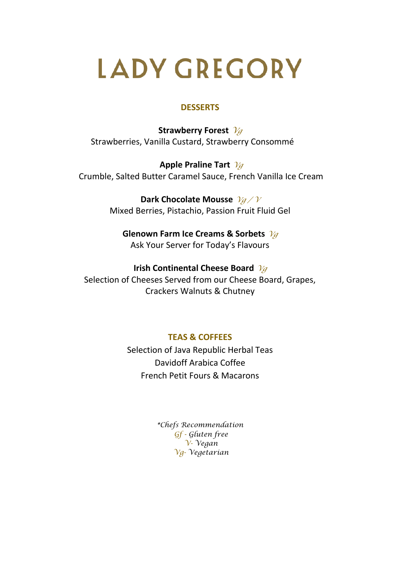#### **DESSERTS**

**Strawberry Forest** *<sup>V</sup><sup>g</sup>* Strawberries, Vanilla Custard, Strawberry Consommé

**Apple Praline Tart** *Vg* Crumble, Salted Butter Caramel Sauce, French Vanilla Ice Cream

> **Dark Chocolate Mousse** *Vg / V* Mixed Berries, Pistachio, Passion Fruit Fluid Gel

**Glenown Farm Ice Creams & Sorbets** *Vg* Ask Your Server for Today's Flavours

**Irish Continental Cheese Board** *Vg* Selection of Cheeses Served from our Cheese Board, Grapes, Crackers Walnuts & Chutney

**TEAS & COFFEES**

Selection of Java Republic Herbal Teas Davidoff Arabica Coffee French Petit Fours & Macarons

> *\*Chefs Recommendation Gf - Gluten free V- Vegan Vg- Vegetarian*